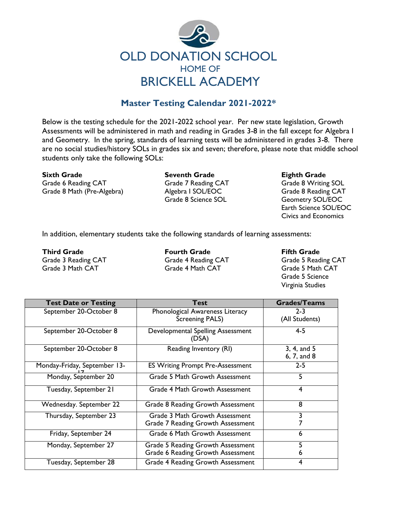

## **Master Testing Calendar 2021-2022\***

Below is the testing schedule for the 2021-2022 school year. Per new state legislation, Growth Assessments will be administered in math and reading in Grades 3-8 in the fall except for Algebra I and Geometry. In the spring, standards of learning tests will be administered in grades 3-8. There are no social studies/history SOLs in grades six and seven; therefore, please note that middle school students only take the following SOLs:

Grade 8 Math (Pre-Algebra) Algebra I SOL/EOC Grade 8 Reading CAT

**Sixth Grade Seventh Grade Eighth Grade** Grade 6 Reading CAT **Grade 7 Reading CAT** Grade 8 Writing SOL Grade 8 Science SOL Geometry SOL/EOC

Earth Science SOL/EOC Civics and Economics

In addition, elementary students take the following standards of learning assessments:

**Third Grade Fourth Grade Fifth Grade** Grade 3 Math CAT Grade 4 Math CAT

Grade 3 Reading CAT Grade 4 Reading CAT Grade 5 Reading CAT

Grade 5 Science Virginia Studies

| <b>Test Date or Testing</b>  | <b>Test</b>                                                            | <b>Grades/Teams</b>        |
|------------------------------|------------------------------------------------------------------------|----------------------------|
| September 20-October 8       | Phonological Awareness Literacy<br><b>Screening PALS)</b>              | $2 - 3$<br>(All Students)  |
| September 20-October 8       | Developmental Spelling Assessment<br>(DSA)                             | $4 - 5$                    |
| September 20-October 8       | Reading Inventory (RI)                                                 | 3, 4, and 5<br>6, 7, and 8 |
| Monday-Friday, September 13- | <b>ES Writing Prompt Pre-Assessment</b>                                | $2 - 5$                    |
| Monday, September 20         | Grade 5 Math Growth Assessment                                         | 5                          |
| Tuesday, September 21        | Grade 4 Math Growth Assessment                                         | 4                          |
| Wednesday. September 22      | Grade 8 Reading Growth Assessment                                      | 8                          |
| Thursday, September 23       | Grade 3 Math Growth Assessment<br>Grade 7 Reading Growth Assessment    | 3                          |
| Friday, September 24         | Grade 6 Math Growth Assessment                                         | 6                          |
| Monday, September 27         | Grade 5 Reading Growth Assessment<br>Grade 6 Reading Growth Assessment | 5<br>6                     |
| Tuesday, September 28        | Grade 4 Reading Growth Assessment                                      | 4                          |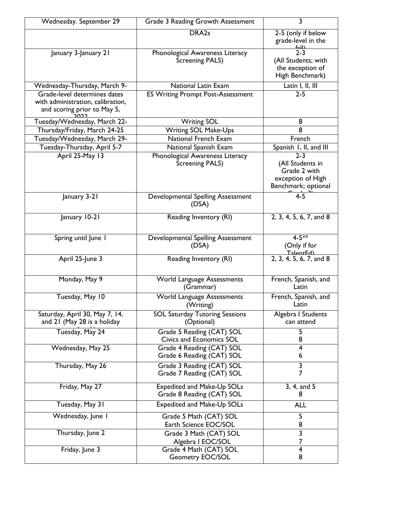| Wednesday. September 29                                                                          | Grade 3 Reading Growth Assessment                                                  | $\overline{\mathbf{3}}$                                                                 |
|--------------------------------------------------------------------------------------------------|------------------------------------------------------------------------------------|-----------------------------------------------------------------------------------------|
|                                                                                                  | DRA <sub>2s</sub>                                                                  | 2-5 (only if below<br>grade-level in the                                                |
| January 3-January 21                                                                             | Phonological Awareness Literacy<br><b>Screening PALS)</b>                          | $\frac{640}{2-3}$<br>(All Students; with<br>the exception of<br>High Benchmark)         |
| Wednesday-Thursday, March 9-                                                                     | <b>National Latin Exam</b>                                                         | Latin I, II, III                                                                        |
| Grade-level determines dates<br>with administration, calibration,<br>and scoring prior to May 5, | <b>ES Writing Prompt Post-Assessment</b>                                           | $2 - 5$                                                                                 |
| Tuesday/Wednesday, March 22-                                                                     | <b>Writing SOL</b>                                                                 | 8                                                                                       |
| Thursday/Friday, March 24-25                                                                     | <b>Writing SOL Make-Ups</b><br>National French Exam                                | 8                                                                                       |
| Tuesday/Wednesday, March 29-<br>Tuesday-Thursday, April 5-7                                      |                                                                                    | French<br>Spanish 1, II, and III                                                        |
| April 25-May 13                                                                                  | National Spanish Exam<br>Phonological Awareness Literacy<br><b>Screening PALS)</b> | $2 - 3$<br>(All Students in<br>Grade 2 with<br>exception of High<br>Benchmark; optional |
| January 3-21                                                                                     | Developmental Spelling Assessment<br>(DSA)                                         | $4 - 5$                                                                                 |
| January 10-21                                                                                    | Reading Inventory (RI)                                                             | 2, 3, 4, 5, 6, 7, and 8                                                                 |
| Spring until June 1                                                                              | Developmental Spelling Assessment<br>(DSA)                                         | $4 - 5**$<br>(Only if for<br>TalentEd)                                                  |
| April 25-June 3                                                                                  | Reading Inventory (RI)                                                             | 2, 3, 4, 5, 6, 7, and 8                                                                 |
| Monday, May 9                                                                                    | World Language Assessments<br>(Grammar)                                            | French, Spanish, and<br>Latin                                                           |
| Tuesday, May 10                                                                                  | World Language Assessments<br>(Writing)                                            | French, Spanish, and<br>Latin                                                           |
| Saturday, April 30, May 7, 14,<br>and 21 (May 28 is a holiday                                    | <b>SOL Saturday Tutoring Sessions</b><br>(Optional)                                | Algebra I Students<br>can attend                                                        |
| Tuesday, May 24                                                                                  | Grade 5 Reading (CAT) SOL<br>Civics and Economics SOL                              | 5<br>8                                                                                  |
| Wednesday, May 25                                                                                | Grade 4 Reading (CAT) SOL<br>Grade 6 Reading (CAT) SOL                             | 4<br>6                                                                                  |
| Thursday, May 26                                                                                 | Grade 3 Reading (CAT) SOL<br>Grade 7 Reading (CAT) SOL                             | 3<br>$\overline{7}$                                                                     |
| Friday, May 27                                                                                   | Expedited and Make-Up SOLs<br>Grade 8 Reading (CAT) SOL                            | 3, 4, and 5<br>8                                                                        |
| Tuesday, May 31                                                                                  | Expedited and Make-Up SOLs                                                         | <b>ALL</b>                                                                              |
| Wednesday, June I                                                                                | Grade 5 Math (CAT) SOL<br>Earth Science EOC/SOL                                    | 5<br>8                                                                                  |
| Thursday, June 2                                                                                 | Grade 3 Math (CAT) SOL<br>Algebra   EOC/SOL                                        | $\overline{\mathbf{3}}$<br>7                                                            |
| Friday, June 3                                                                                   | Grade 4 Math (CAT) SOL<br><b>Geometry EOC/SOL</b>                                  | $\overline{4}$<br>8                                                                     |